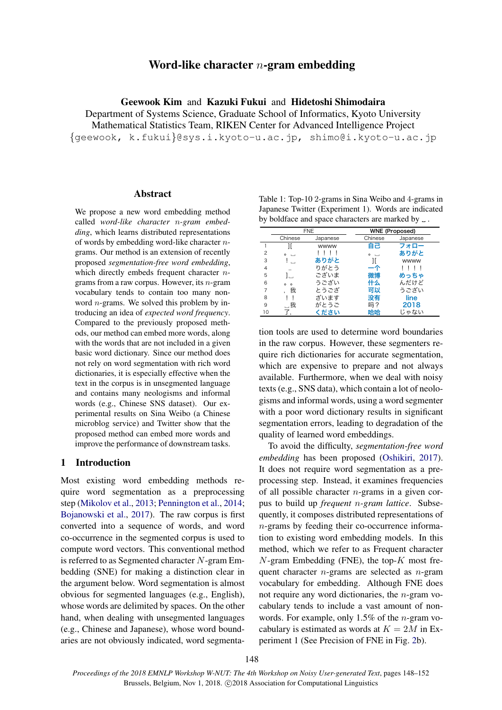# Word-like character *n*-gram embedding

Geewook Kim and Kazuki Fukui and Hidetoshi Shimodaira

Department of Systems Science, Graduate School of Informatics, Kyoto University Mathematical Statistics Team, RIKEN Center for Advanced Intelligence Project *{*geewook, k.fukui*}*@sys.i.kyoto-u.ac.jp, shimo@i.kyoto-u.ac.jp

## Abstract

We propose a new word embedding method called *word-like character n-gram embedding*, which learns distributed representations of words by embedding word-like character *n*grams. Our method is an extension of recently proposed *segmentation-free word embedding*, which directly embeds frequent character *n*grams from a raw corpus. However, its *n*-gram vocabulary tends to contain too many nonword *n*-grams. We solved this problem by introducing an idea of *expected word frequency*. Compared to the previously proposed methods, our method can embed more words, along with the words that are not included in a given basic word dictionary. Since our method does not rely on word segmentation with rich word dictionaries, it is especially effective when the text in the corpus is in unsegmented language and contains many neologisms and informal words (e.g., Chinese SNS dataset). Our experimental results on Sina Weibo (a Chinese microblog service) and Twitter show that the proposed method can embed more words and improve the performance of downstream tasks.

# 1 Introduction

Most existing word embedding methods require word segmentation as a preprocessing step [\(Mikolov et al.,](#page-4-0) [2013;](#page-4-0) [Pennington et al.](#page-4-1), [2014](#page-4-1); [Bojanowski et al.](#page-4-2), [2017](#page-4-2)). The raw corpus is first converted into a sequence of words, and word co-occurrence in the segmented corpus is used to compute word vectors. This conventional method is referred to as Segmented character *N*-gram Embedding (SNE) for making a distinction clear in the argument below. Word segmentation is almost obvious for segmented languages (e.g., English), whose words are delimited by spaces. On the other hand, when dealing with unsegmented languages (e.g., Chinese and Japanese), whose word boundaries are not obviously indicated, word segmenta-

<span id="page-0-0"></span>Table 1: Top-10 2-grams in Sina Weibo and 4-grams in Japanese Twitter (Experiment 1). Words are indicated by boldface and space characters are marked by  $\Box$ .

|                | <b>FNE</b>           |          | <b>WNE (Proposed)</b> |          |  |
|----------------|----------------------|----------|-----------------------|----------|--|
|                | Chinese              | Japanese | Chinese               | Japanese |  |
|                | 11                   | wwww     | 自己                    | フォロー     |  |
| $\overline{c}$ | $\circ$              |          | $0 \rightarrow$       | ありがと     |  |
| 3              |                      | ありがと     |                       | wwww     |  |
| 4              | $\ddot{\phantom{a}}$ | りがとう     |                       |          |  |
| 5              | Ι.                   | ございま     | 微博                    | めっちゃ     |  |
| 6              | $\circ$<br>$\Omega$  | うござい     | 什么                    | んだけど     |  |
| 7              | 我                    | とうござ     | 可以                    | うござい     |  |
| 8              |                      | ざいます     | 没有                    | line     |  |
| 9              | . 我                  | がとうご     | 吗?                    | 2018     |  |
| 10             |                      | ください     | 哈哈                    | じゃない     |  |

tion tools are used to determine word boundaries in the raw corpus. However, these segmenters require rich dictionaries for accurate segmentation, which are expensive to prepare and not always available. Furthermore, when we deal with noisy texts (e.g., SNS data), which contain a lot of neologisms and informal words, using a word segmenter with a poor word dictionary results in significant segmentation errors, leading to degradation of the quality of learned word embeddings.

To avoid the difficulty, *segmentation-free word embedding* has been proposed ([Oshikiri,](#page-4-3) [2017](#page-4-3)). It does not require word segmentation as a preprocessing step. Instead, it examines frequencies of all possible character *n*-grams in a given corpus to build up *frequent n-gram lattice*. Subsequently, it composes distributed representations of *n*-grams by feeding their co-occurrence information to existing word embedding models. In this method, which we refer to as Frequent character *N*-gram Embedding (FNE), the top-*K* most frequent character *n*-grams are selected as *n*-gram vocabulary for embedding. Although FNE does not require any word dictionaries, the *n*-gram vocabulary tends to include a vast amount of nonwords. For example, only 1.5% of the *n*-gram vocabulary is estimated as words at  $K = 2M$  in Experiment 1 (See Precision of FNE in Fig. [2](#page-3-0)b).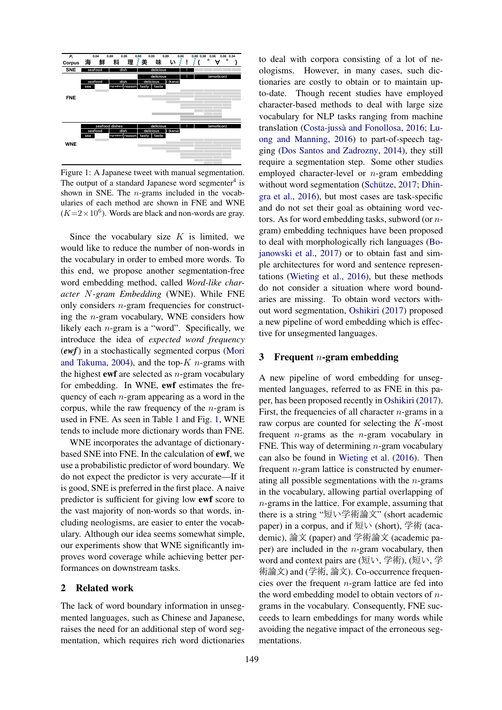

<span id="page-1-0"></span>Figure 1: A Japanese tweet with manual segmentation. The output of a standard Japanese word segmenter $4$  is shown in SNE. The *n*-grams included in the vocabularies of each method are shown in FNE and WNE  $(K=2\times10^6)$ . Words are black and non-words are gray.

Since the vocabulary size *K* is limited, we would like to reduce the number of non-words in the vocabulary in order to embed more words. To this end, we propose another segmentation-free word embedding method, called *Word-like character N-gram Embedding* (WNE). While FNE only considers *n*-gram frequencies for constructing the *n*-gram vocabulary, WNE considers how likely each *n*-gram is a "word". Specifically, we introduce the idea of *expected word frequency* (*ewf*) in a stochastically segmented corpus [\(Mori](#page-4-4) [and Takuma](#page-4-4), [2004\)](#page-4-4), and the top-*K n*-grams with the highest ewf are selected as *n*-gram vocabulary for embedding. In WNE, ewf estimates the frequency of each *n*-gram appearing as a word in the corpus, while the raw frequency of the *n*-gram is used in FNE. As seen in Table [1](#page-0-0) and Fig. [1,](#page-1-0) WNE tends to include more dictionary words than FNE.

WNE incorporates the advantage of dictionarybased SNE into FNE. In the calculation of ewf, we use a probabilistic predictor of word boundary. We do not expect the predictor is very accurate—If it is good, SNE is preferred in the first place. A naive predictor is sufficient for giving low ewf score to the vast majority of non-words so that words, including neologisms, are easier to enter the vocabulary. Although our idea seems somewhat simple, our experiments show that WNE significantly improves word coverage while achieving better performances on downstream tasks.

### 2 Related work

The lack of word boundary information in unsegmented languages, such as Chinese and Japanese, raises the need for an additional step of word segmentation, which requires rich word dictionaries to deal with corpora consisting of a lot of neologisms. However, in many cases, such dictionaries are costly to obtain or to maintain upto-date. Though recent studies have employed character-based methods to deal with large size vocabulary for NLP tasks ranging from machine translation (Costa-jussà and Fonollosa, [2016](#page-4-5); [Lu](#page-4-6)[ong and Manning,](#page-4-6) [2016](#page-4-6)) to part-of-speech tagging ([Dos Santos and Zadrozny,](#page-4-7) [2014\)](#page-4-7), they still require a segmentation step. Some other studies employed character-level or *n*-gram embedding without word segmentation (Schütze, [2017](#page-4-8); [Dhin](#page-4-9)[gra et al.,](#page-4-9) [2016](#page-4-9)), but most cases are task-specific and do not set their goal as obtaining word vectors. As for word embedding tasks, subword (or *n*gram) embedding techniques have been proposed to deal with morphologically rich languages [\(Bo](#page-4-2)[janowski et al.](#page-4-2), [2017\)](#page-4-2) or to obtain fast and simple architectures for word and sentence representations ([Wieting et al.](#page-4-10), [2016\)](#page-4-10), but these methods do not consider a situation where word boundaries are missing. To obtain word vectors without word segmentation, [Oshikiri](#page-4-3) ([2017\)](#page-4-3) proposed a new pipeline of word embedding which is effective for unsegmented languages.

## 3 Frequent *n*-gram embedding

A new pipeline of word embedding for unsegmented languages, referred to as FNE in this paper, has been proposed recently in [Oshikiri](#page-4-3) [\(2017](#page-4-3)). First, the frequencies of all character *n*-grams in a raw corpus are counted for selecting the *K*-most frequent *n*-grams as the *n*-gram vocabulary in FNE. This way of determining *n*-gram vocabulary can also be found in [Wieting et al.](#page-4-10) [\(2016](#page-4-10)). Then frequent *n*-gram lattice is constructed by enumerating all possible segmentations with the *n*-grams in the vocabulary, allowing partial overlapping of *n*-grams in the lattice. For example, assuming that there is a string "短い学術論文" (short academic paper) in a corpus, and if  $\overline{\mathfrak{W}}$  (short), 学術 (academic), 論文 (paper) and 学術論文 (academic paper) are included in the *n*-gram vocabulary, then word and context pairs are (短い, 学術), (短い, 学 術論文) and (学術, 論文). Co-occurrence frequencies over the frequent *n*-gram lattice are fed into the word embedding model to obtain vectors of *n*grams in the vocabulary. Consequently, FNE succeeds to learn embeddings for many words while avoiding the negative impact of the erroneous segmentations.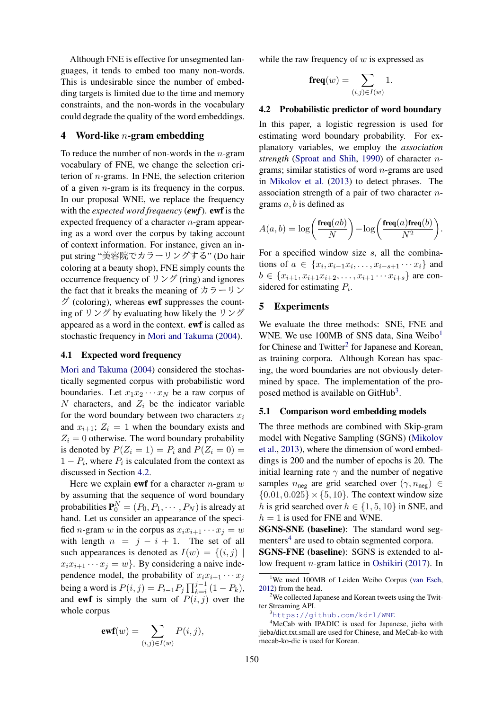Although FNE is effective for unsegmented languages, it tends to embed too many non-words. This is undesirable since the number of embedding targets is limited due to the time and memory constraints, and the non-words in the vocabulary could degrade the quality of the word embeddings.

## 4 Word-like *n*-gram embedding

To reduce the number of non-words in the *n*-gram vocabulary of FNE, we change the selection criterion of *n*-grams. In FNE, the selection criterion of a given *n*-gram is its frequency in the corpus. In our proposal WNE, we replace the frequency with the *expected word frequency* (*ewf*). ewf is the expected frequency of a character *n*-gram appearing as a word over the corpus by taking account of context information. For instance, given an input string "美容院でカラーリングする" (Do hair coloring at a beauty shop), FNE simply counts the occurrence frequency of  $\forall \forall \vec{r}$  (ring) and ignores the fact that it breaks the meaning of  $\pi$   $\bar{\pi}$   $\rightarrow$   $\bar{\pi}$  $\beta$  (coloring), whereas **ewf** suppresses the counting of リング by evaluating how likely the リング appeared as a word in the context. ewf is called as stochastic frequency in [Mori and Takuma](#page-4-4) [\(2004](#page-4-4)).

# 4.1 Expected word frequency

[Mori and Takuma](#page-4-4) [\(2004](#page-4-4)) considered the stochastically segmented corpus with probabilistic word boundaries. Let  $x_1x_2 \cdots x_N$  be a raw corpus of *N* characters, and  $Z_i$  be the indicator variable for the word boundary between two characters  $x_i$ and  $x_{i+1}$ ;  $Z_i = 1$  when the boundary exists and  $Z_i = 0$  otherwise. The word boundary probability is denoted by  $P(Z_i = 1) = P_i$  and  $P(Z_i = 0) =$ 1 *− P<sup>i</sup>* , where *P<sup>i</sup>* is calculated from the context as discussed in Section [4.2.](#page-2-1)

Here we explain ewf for a character *n*-gram *w* by assuming that the sequence of word boundary probabilities  $\mathbf{P}_0^N = (P_0, P_1, \cdots, P_N)$  is already at hand. Let us consider an appearance of the specified *n*-gram *w* in the corpus as  $x_i x_{i+1} \cdots x_j = w$ with length  $n = j - i + 1$ . The set of all such appearances is denoted as  $I(w) = \{(i, j) |$  $x_i x_{i+1} \cdots x_j = w$ . By considering a naive independence model, the probability of  $x_i x_{i+1} \cdots x_j$  $\text{being a word is } P(i, j) = P_{i-1}P_j \prod_{k=i}^{j-1} (1 - P_k),$ and **ewf** is simply the sum of  $P(i, j)$  over the whole corpus

$$
\text{ewf}(w) = \sum_{(i,j)\in I(w)} P(i,j),
$$

while the raw frequency of *w* is expressed as

$$
\mathbf{freq}(w)=\sum_{(i,j)\in I(w)}1.
$$

## <span id="page-2-1"></span>4.2 Probabilistic predictor of word boundary

In this paper, a logistic regression is used for estimating word boundary probability. For explanatory variables, we employ the *association strength* [\(Sproat and Shih](#page-4-11), [1990\)](#page-4-11) of character *n*grams; similar statistics of word *n*-grams are used in [Mikolov et al.](#page-4-0) [\(2013](#page-4-0)) to detect phrases. The association strength of a pair of two character *n*grams *a, b* is defined as

$$
A(a,b) = \log\left(\frac{\text{freq}(ab)}{N}\right) - \log\left(\frac{\text{freq}(a)\text{freq}(b)}{N^2}\right).
$$

For a specified window size *s*, all the combinations of *a* ∈ { $x_i, x_{i-1}x_i, \ldots, x_{i-s+1} \cdots x_i$ } and  $b \in \{x_{i+1}, x_{i+1}x_{i+2}, \ldots, x_{i+1} \cdots x_{i+s}\}\$ are considered for estimating *P<sup>i</sup>* .

#### 5 Experiments

We evaluate the three methods: SNE, FNE and WNE. We use [1](#page-2-2)00MB of SNS data, Sina Weibo $<sup>1</sup>$ </sup> for Chinese and Twitter<sup>[2](#page-2-3)</sup> for Japanese and Korean, as training corpora. Although Korean has spacing, the word boundaries are not obviously determined by space. The implementation of the pro-posed method is available on GitHub<sup>[3](#page-2-4)</sup>.

#### 5.1 Comparison word embedding models

The three methods are combined with Skip-gram model with Negative Sampling (SGNS) [\(Mikolov](#page-4-0) [et al.](#page-4-0), [2013](#page-4-0)), where the dimension of word embeddings is 200 and the number of epochs is 20. The initial learning rate  $\gamma$  and the number of negative samples  $n_{\text{neg}}$  are grid searched over  $(\gamma, n_{\text{neg}}) \in$  $\{0.01, 0.025\} \times \{5, 10\}$ . The context window size *h* is grid searched over  $h \in \{1, 5, 10\}$  in SNE, and  $h = 1$  is used for FNE and WNE.

SGNS-SNE (baseline): The standard word seg-menters<sup>[4](#page-2-0)</sup> are used to obtain segmented corpora.

SGNS-FNE (baseline): SGNS is extended to allow frequent *n*-gram lattice in [Oshikiri](#page-4-3) [\(2017](#page-4-3)). In

<span id="page-2-2"></span><sup>&</sup>lt;sup>1</sup>We used 100MB of Leiden Weibo Corpus [\(van Esch](#page-4-12), [2012](#page-4-12)) from the head.

<span id="page-2-3"></span><sup>&</sup>lt;sup>2</sup>We collected Japanese and Korean tweets using the Twitter Streaming API.

<span id="page-2-4"></span><span id="page-2-0"></span><sup>3</sup><https://github.com/kdrl/WNE>

<sup>&</sup>lt;sup>4</sup>MeCab with IPADIC is used for Japanese, jieba with jieba/dict.txt.small are used for Chinese, and MeCab-ko with mecab-ko-dic is used for Korean.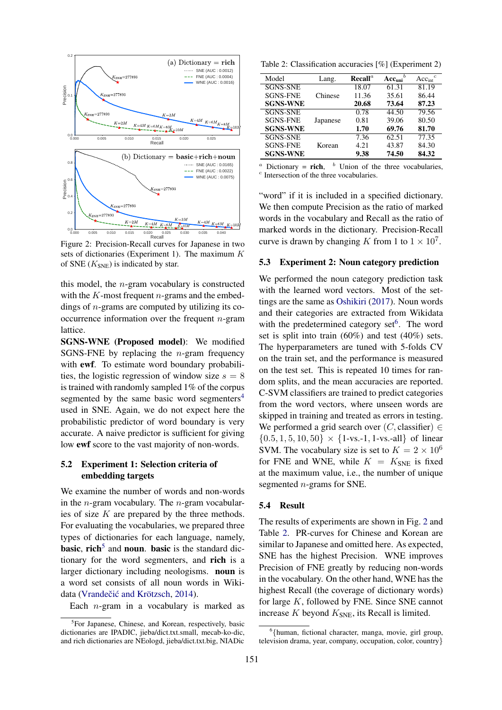

<span id="page-3-0"></span>Figure 2: Precision-Recall curves for Japanese in two sets of dictionaries (Experiment 1). The maximum *K* of SNE  $(K_{\text{SNE}})$  is indicated by star.

this model, the *n*-gram vocabulary is constructed with the *K*-most frequent *n*-grams and the embeddings of *n*-grams are computed by utilizing its cooccurrence information over the frequent *n*-gram lattice.

**151 1.1** (b) Dictionary **and 6.02**<br>
(b) Dictionary **and 161**<br>
(c) Dictionary **and 161**<br> **151**<br> **161**<br> **161**<br> **161**<br> **161**<br> **161**<br> **161**<br> **161**<br> **161**<br> **161**<br> **161**<br> **161**<br> **161**<br> **161**<br> **161**<br> **161**<br> **161**<br> **161**<br> SGNS-WNE (Proposed model): We modified SGNS-FNE by replacing the *n*-gram frequency with ewf. To estimate word boundary probabilities, the logistic regression of window size  $s = 8$ is trained with randomly sampled 1% of the corpus segmented by the same basic word segmenters<sup>[4](#page-2-0)</sup> used in SNE. Again, we do not expect here the probabilistic predictor of word boundary is very accurate. A naive predictor is sufficient for giving low ewf score to the vast majority of non-words.

# 5.2 Experiment 1: Selection criteria of embedding targets

We examine the number of words and non-words in the *n*-gram vocabulary. The *n*-gram vocabularies of size *K* are prepared by the three methods. For evaluating the vocabularies, we prepared three types of dictionaries for each language, namely, basic, rich<sup>[5](#page-3-1)</sup> and noun. basic is the standard dictionary for the word segmenters, and rich is a larger dictionary including neologisms. noun is a word set consists of all noun words in Wiki-data (Vrandečić and Krötzsch, [2014](#page-4-13)).

Each *n*-gram in a vocabulary is marked as

<span id="page-3-3"></span>Table 2: Classification accuracies [%] (Experiment 2)

| Model           | Lang.    | $\bf Recall^a$ | $Acc_{uni}^b$ | $Acc_{int}^c$ |
|-----------------|----------|----------------|---------------|---------------|
| <b>SGNS-SNE</b> |          | 18.07          | 61.31         | 81.19         |
| <b>SGNS-FNE</b> | Chinese  | 11.36          | 35.61         | 86.44         |
| <b>SGNS-WNE</b> |          | 20.68          | 73.64         | 87.23         |
| <b>SGNS-SNE</b> |          | 0.78           | 44.50         | 79.56         |
| <b>SGNS-FNE</b> | Japanese | 0.81           | 39.06         | 80.50         |
| <b>SGNS-WNE</b> |          | 1.70           | 69.76         | 81.70         |
| <b>SGNS-SNE</b> |          | 7.36           | 62.51         | 77.35         |
| <b>SGNS-FNE</b> | Korean   | 4.21           | 43.87         | 84.30         |
| <b>SGNS-WNE</b> |          | 9.38           | 74.50         | 84.32         |

 $a$  Dictionary = **rich**,  $b$  Union of the three vocabularies, *c* Intersection of the three vocabularies.

"word" if it is included in a specified dictionary. We then compute Precision as the ratio of marked words in the vocabulary and Recall as the ratio of marked words in the dictionary. Precision-Recall curve is drawn by changing *K* from 1 to  $1 \times 10^7$ .

#### 5.3 Experiment 2: Noun category prediction

We performed the noun category prediction task with the learned word vectors. Most of the settings are the same as [Oshikiri](#page-4-3) ([2017\)](#page-4-3). Noun words and their categories are extracted from Wikidata with the predetermined category set<sup>[6](#page-3-2)</sup>. The word set is split into train (60%) and test (40%) sets. The hyperparameters are tuned with 5-folds CV on the train set, and the performance is measured on the test set. This is repeated 10 times for random splits, and the mean accuracies are reported. C-SVM classifiers are trained to predict categories from the word vectors, where unseen words are skipped in training and treated as errors in testing. We performed a grid search over (*C,* classifier) *∈*  ${0.5, 1, 5, 10, 50} \times {1 \text{-vs.}-1, 1 \text{-vs.}-all}$  of linear SVM. The vocabulary size is set to  $K = 2 \times 10^6$ for FNE and WNE, while  $K = K_{\text{SNE}}$  is fixed at the maximum value, i.e., the number of unique segmented *n*-grams for SNE.

#### 5.4 Result

The results of experiments are shown in Fig. [2](#page-3-0) and Table [2.](#page-3-3) PR-curves for Chinese and Korean are similar to Japanese and omitted here. As expected, SNE has the highest Precision. WNE improves Precision of FNE greatly by reducing non-words in the vocabulary. On the other hand, WNE has the highest Recall (the coverage of dictionary words) for large *K*, followed by FNE. Since SNE cannot increase  $K$  beyond  $K_{\text{SNE}}$ , its Recall is limited.

<span id="page-3-1"></span><sup>&</sup>lt;sup>5</sup>For Japanese, Chinese, and Korean, respectively, basic dictionaries are IPADIC, jieba/dict.txt.small, mecab-ko-dic, and rich dictionaries are NEologd, jieba/dict.txt.big, NIADic

<span id="page-3-2"></span><sup>6</sup> *{*human, fictional character, manga, movie, girl group, television drama, year, company, occupation, color, country*}*